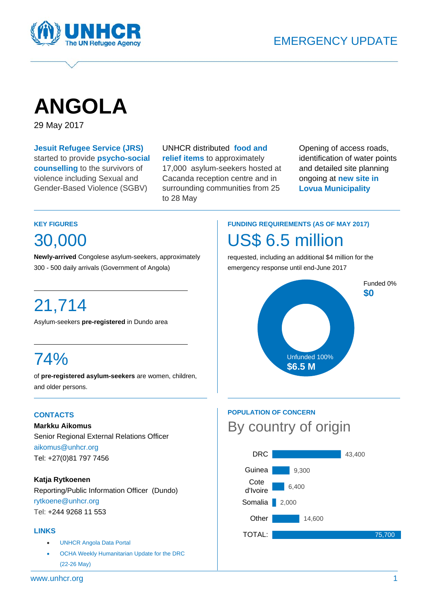

# **ANGOLA**

29 May 2017

**Jesuit Refugee Service (JRS)**  started to provide **psycho-social counselling** to the survivors of violence including Sexual and Gender-Based Violence (SGBV)

 UNHCR distributed **food and relief items** to approximately 17,000 asylum-seekers hosted at Cacanda reception centre and in surrounding communities from 25 to 28 May

Opening of access roads, identification of water points and detailed site planning ongoing at **new site in Lovua Municipality**

#### **KEY FIGURES**

30,000

**Newly-arrived** Congolese asylum-seekers, approximately 300 - 500 daily arrivals (Government of Angola)

## 21,714

Asylum-seekers **pre-registered** in Dundo area

## 74%

of **pre-registered asylum-seekers** are women, children, and older persons.

#### **CONTACTS**

**Markku Aikomus** Senior Regional External Relations Officer aikomus@unhcr.org Tel: +27(0)81 797 7456

#### **Katja Rytkoenen**

Reporting/Public Information Officer (Dundo) rytkoene@unhcr.org Tel: +244 9268 11 553

#### **LINKS**

- UNHCR Angola Data Portal
- OCHA Weekly Humanitarian Update for the DRC (22-26 May)

## **FUNDING REQUIREMENTS (AS OF MAY 2017)**  S\$ 6.5 million

requested, including an additional \$4 million for the emergency response until end-June 2017



### **POPULATION OF CONCERN**  By country of origin

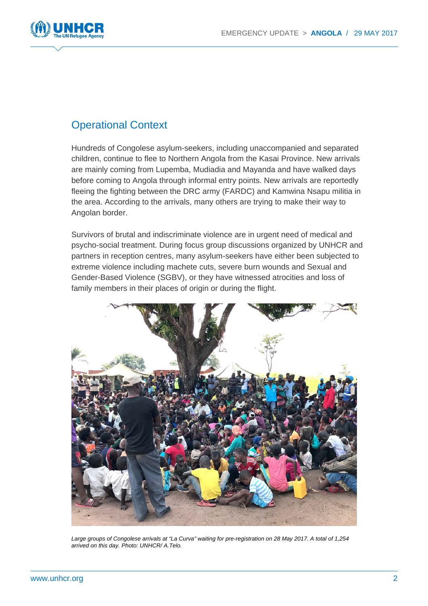

### Operational Context

Hundreds of Congolese asylum-seekers, including unaccompanied and separated children, continue to flee to Northern Angola from the Kasai Province. New arrivals are mainly coming from Lupemba, Mudiadia and Mayanda and have walked days before coming to Angola through informal entry points. New arrivals are reportedly fleeing the fighting between the DRC army (FARDC) and Kamwina Nsapu militia in the area. According to the arrivals, many others are trying to make their way to Angolan border.

Survivors of brutal and indiscriminate violence are in urgent need of medical and psycho-social treatment. During focus group discussions organized by UNHCR and partners in reception centres, many asylum-seekers have either been subjected to extreme violence including machete cuts, severe burn wounds and Sexual and Gender-Based Violence (SGBV), or they have witnessed atrocities and loss of family members in their places of origin or during the flight.



*Large groups of Congolese arrivals at "La Curva" waiting for pre-registration on 28 May 2017. A total of 1,254 arrived on this day. Photo: UNHCR/ A.Telo.*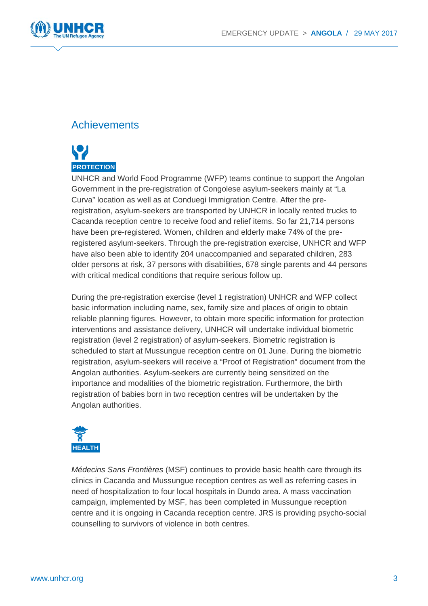

## **Achievements**



UNHCR and World Food Programme (WFP) teams continue to support the Angolan Government in the pre-registration of Congolese asylum-seekers mainly at "La Curva" location as well as at Conduegi Immigration Centre. After the preregistration, asylum-seekers are transported by UNHCR in locally rented trucks to Cacanda reception centre to receive food and relief items. So far 21,714 persons have been pre-registered. Women, children and elderly make 74% of the preregistered asylum-seekers. Through the pre-registration exercise, UNHCR and WFP have also been able to identify 204 unaccompanied and separated children, 283 older persons at risk, 37 persons with disabilities, 678 single parents and 44 persons with critical medical conditions that require serious follow up.

During the pre-registration exercise (level 1 registration) UNHCR and WFP collect basic information including name, sex, family size and places of origin to obtain reliable planning figures. However, to obtain more specific information for protection interventions and assistance delivery, UNHCR will undertake individual biometric registration (level 2 registration) of asylum-seekers. Biometric registration is scheduled to start at Mussungue reception centre on 01 June. During the biometric registration, asylum-seekers will receive a "Proof of Registration" document from the Angolan authorities. Asylum-seekers are currently being sensitized on the importance and modalities of the biometric registration. Furthermore, the birth registration of babies born in two reception centres will be undertaken by the Angolan authorities.



*Médecins Sans Frontières* (MSF) continues to provide basic health care through its clinics in Cacanda and Mussungue reception centres as well as referring cases in need of hospitalization to four local hospitals in Dundo area. A mass vaccination campaign, implemented by MSF, has been completed in Mussungue reception centre and it is ongoing in Cacanda reception centre. JRS is providing psycho-social counselling to survivors of violence in both centres.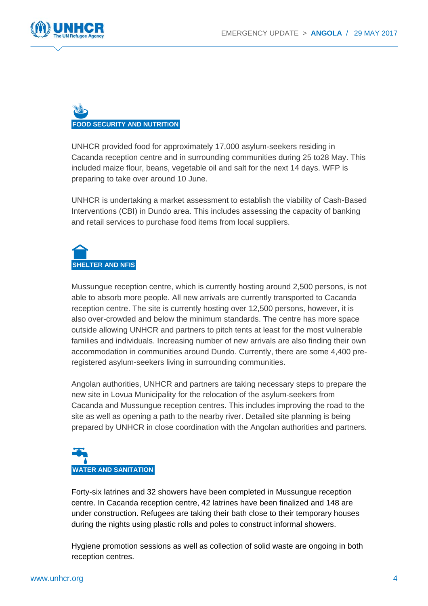

# **FOOD SECURITY AND NUTRITION**

UNHCR provided food for approximately 17,000 asylum-seekers residing in Cacanda reception centre and in surrounding communities during 25 to28 May. This included maize flour, beans, vegetable oil and salt for the next 14 days. WFP is preparing to take over around 10 June.

UNHCR is undertaking a market assessment to establish the viability of Cash-Based Interventions (CBI) in Dundo area. This includes assessing the capacity of banking and retail services to purchase food items from local suppliers.



Mussungue reception centre, which is currently hosting around 2,500 persons, is not able to absorb more people. All new arrivals are currently transported to Cacanda reception centre. The site is currently hosting over 12,500 persons, however, it is also over-crowded and below the minimum standards. The centre has more space outside allowing UNHCR and partners to pitch tents at least for the most vulnerable families and individuals. Increasing number of new arrivals are also finding their own accommodation in communities around Dundo. Currently, there are some 4,400 preregistered asylum-seekers living in surrounding communities.

Angolan authorities, UNHCR and partners are taking necessary steps to prepare the new site in Lovua Municipality for the relocation of the asylum-seekers from Cacanda and Mussungue reception centres. This includes improving the road to the site as well as opening a path to the nearby river. Detailed site planning is being prepared by UNHCR in close coordination with the Angolan authorities and partners.

# **WATER AND SANITATION**

Forty-six latrines and 32 showers have been completed in Mussungue reception centre. In Cacanda reception centre, 42 latrines have been finalized and 148 are under construction. Refugees are taking their bath close to their temporary houses during the nights using plastic rolls and poles to construct informal showers.

Hygiene promotion sessions as well as collection of solid waste are ongoing in both reception centres.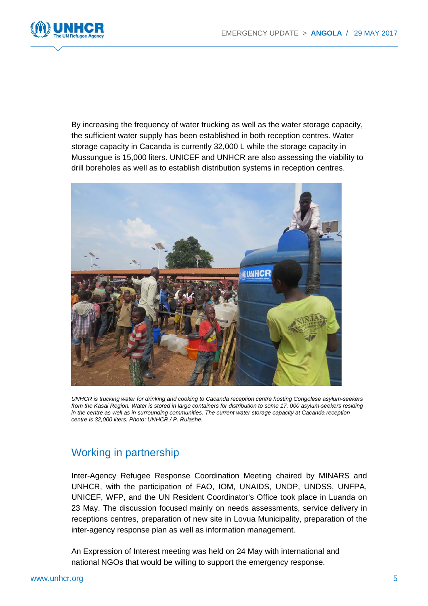

By increasing the frequency of water trucking as well as the water storage capacity, the sufficient water supply has been established in both reception centres. Water storage capacity in Cacanda is currently 32,000 L while the storage capacity in Mussungue is 15,000 liters. UNICEF and UNHCR are also assessing the viability to drill boreholes as well as to establish distribution systems in reception centres.



*UNHCR is trucking water for drinking and cooking to Cacanda reception centre hosting Congolese asylum-seekers from the Kasai Region. Water is stored in large containers for distribution to some 17, 000 asylum-seekers residing in the centre as well as in surrounding communities. The current water storage capacity at Cacanda reception centre is 32,000 liters. Photo: UNHCR / P. Rulashe.*

### Working in partnership

Inter-Agency Refugee Response Coordination Meeting chaired by MINARS and UNHCR, with the participation of FAO, IOM, UNAIDS, UNDP, UNDSS, UNFPA, UNICEF, WFP, and the UN Resident Coordinator's Office took place in Luanda on 23 May. The discussion focused mainly on needs assessments, service delivery in receptions centres, preparation of new site in Lovua Municipality, preparation of the inter-agency response plan as well as information management.

An Expression of Interest meeting was held on 24 May with international and national NGOs that would be willing to support the emergency response.